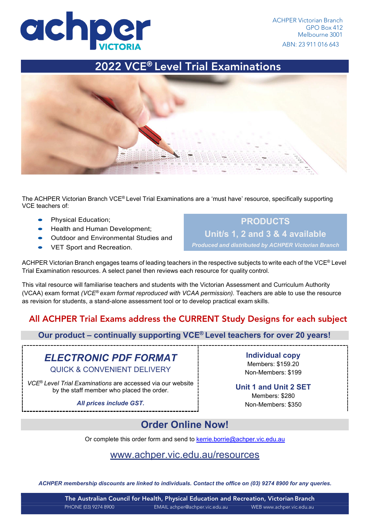

2022 VCE® Level Trial Examinations



The ACHPER Victorian Branch VCE® Level Trial Examinations are a 'must have' resource, specifically supporting VCE teachers of:

- Physical Education;
- Health and Human Development;
- Outdoor and Environmental Studies and
- VET Sport and Recreation.

**PRODUCTS Unit/s 1, 2 and 3 & 4 available**

*Produced and distributed by ACHPER Victorian Branch*

ACHPER Victorian Branch engages teams of leading teachers in the respective subjects to write each of the VCE® Level Trial Examination resources. A select panel then reviews each resource for quality control.

This vital resource will familiarise teachers and students with the Victorian Assessment and Curriculum Authority (VCAA) exam format *(VCE® exam format reproduced with VCAA permission).* Teachers are able to use the resource as revision for students, a stand-alone assessment tool or to develop practical exam skills.

# All ACHPER Trial Exams address the CURRENT Study Designs for each subject

**Our product – continually supporting VCE® Level teachers for over 20 years!**

# *ELECTRONIC PDF FORMAT*

QUICK & CONVENIENT DELIVERY

*VCE*® *Level Trial Examinations* are accessed via our website by the staff member who placed the order*.* **Unit 1 and Unit 2 SET**

All prices include GST. The contract of the Non-Members: \$350

**Individual copy**  Members: \$159.20 Non-Members: \$199

Members: \$280

# **Order Online Now!**

Or complete this order form and send to [kerrie.borrie@achper.vic.edu.au](mailto:kerrie.borrie@achper.vic.edu.au)

### [www.achper.vic.edu.au/resources](http://www.achper.vic.edu.au/resources)

*ACHPER membership discounts are linked to individuals. Contact the office on (03) 9274 8900 for any queries.*